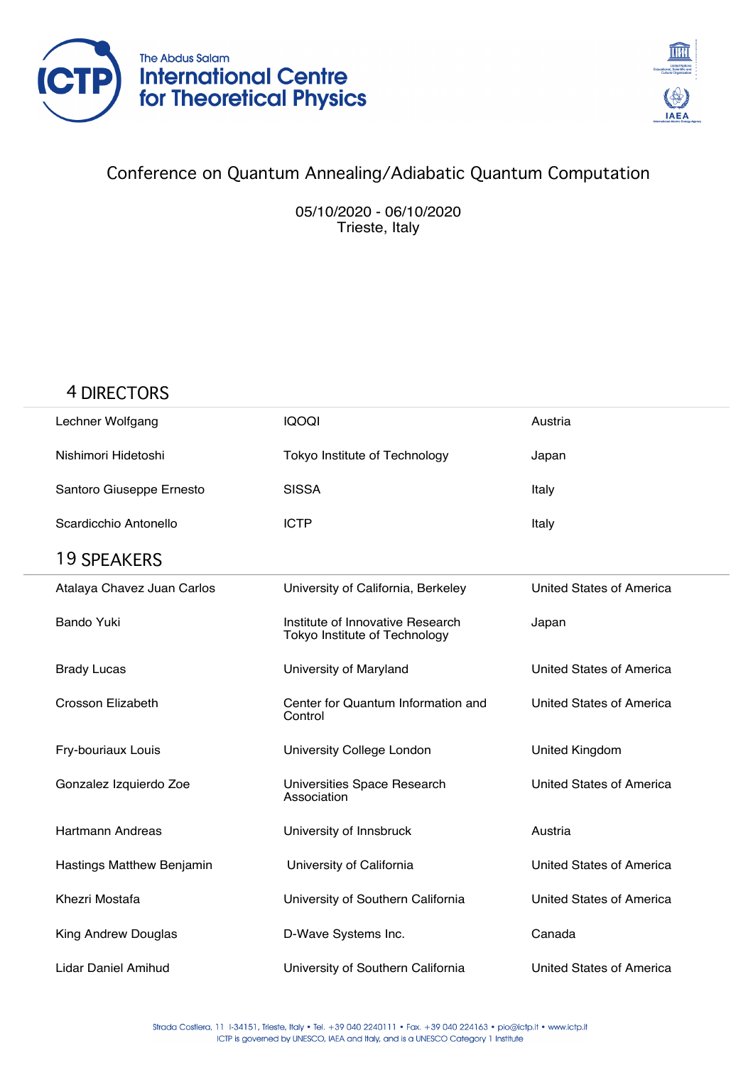



## Conference on Quantum Annealing/Adiabatic Quantum Computation

05/10/2020 - 06/10/2020 Trieste, Italy

## 4 DIRECTORS

| Lechner Wolfgang           | <b>IQOQI</b>                                                      | Austria                  |
|----------------------------|-------------------------------------------------------------------|--------------------------|
| Nishimori Hidetoshi        | Tokyo Institute of Technology                                     | Japan                    |
| Santoro Giuseppe Ernesto   | <b>SISSA</b>                                                      | Italy                    |
| Scardicchio Antonello      | <b>ICTP</b>                                                       | Italy                    |
| <b>19 SPEAKERS</b>         |                                                                   |                          |
| Atalaya Chavez Juan Carlos | University of California, Berkeley                                | United States of America |
| <b>Bando Yuki</b>          | Institute of Innovative Research<br>Tokyo Institute of Technology | Japan                    |
| <b>Brady Lucas</b>         | University of Maryland                                            | United States of America |
| <b>Crosson Elizabeth</b>   | Center for Quantum Information and<br>Control                     | United States of America |
| Fry-bouriaux Louis         | University College London                                         | United Kingdom           |
| Gonzalez Izquierdo Zoe     | Universities Space Research<br>Association                        | United States of America |
| <b>Hartmann Andreas</b>    | University of Innsbruck                                           | Austria                  |
| Hastings Matthew Benjamin  | University of California                                          | United States of America |
| Khezri Mostafa             | University of Southern California                                 | United States of America |
| King Andrew Douglas        | D-Wave Systems Inc.                                               | Canada                   |
| Lidar Daniel Amihud        | University of Southern California                                 | United States of America |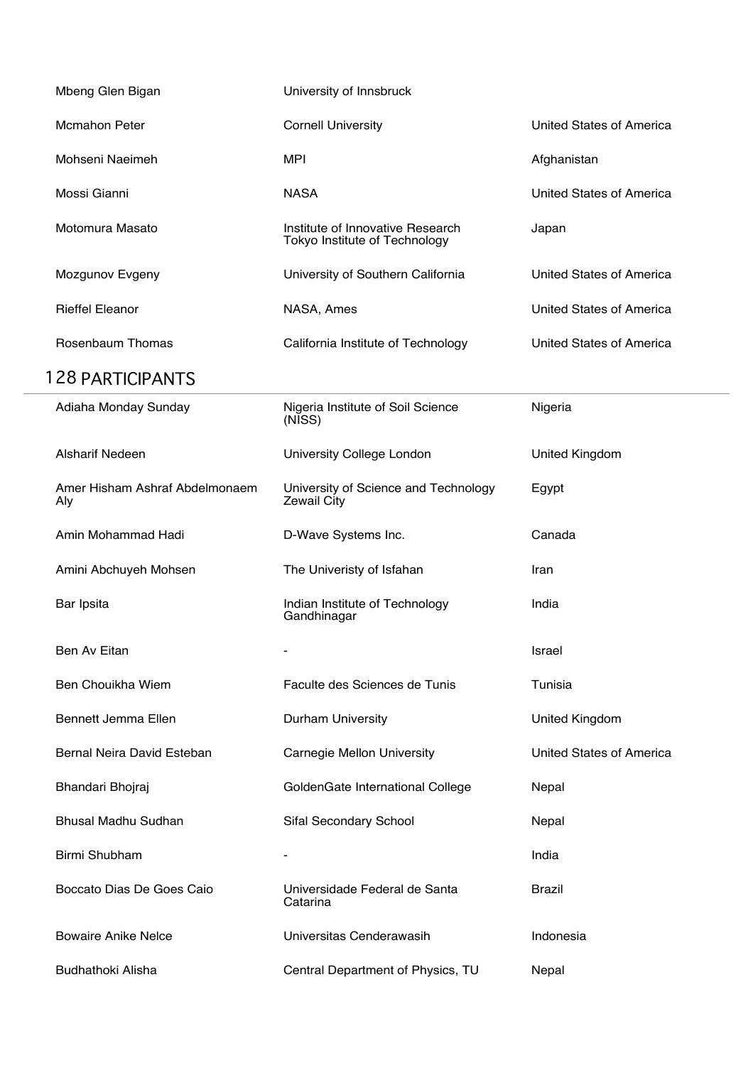| Mbeng Glen Bigan                      | University of Innsbruck                                           |                          |
|---------------------------------------|-------------------------------------------------------------------|--------------------------|
| <b>Mcmahon Peter</b>                  | <b>Cornell University</b>                                         | United States of America |
| Mohseni Naeimeh                       | <b>MPI</b>                                                        | Afghanistan              |
| Mossi Gianni                          | <b>NASA</b>                                                       | United States of America |
| Motomura Masato                       | Institute of Innovative Research<br>Tokyo Institute of Technology | Japan                    |
| Mozgunov Evgeny                       | University of Southern California                                 | United States of America |
| <b>Rieffel Eleanor</b>                | NASA, Ames                                                        | United States of America |
| Rosenbaum Thomas                      | California Institute of Technology                                | United States of America |
| <b>128 PARTICIPANTS</b>               |                                                                   |                          |
| Adiaha Monday Sunday                  | Nigeria Institute of Soil Science<br>(NISS)                       | Nigeria                  |
| <b>Alsharif Nedeen</b>                | University College London                                         | <b>United Kingdom</b>    |
| Amer Hisham Ashraf Abdelmonaem<br>Aly | University of Science and Technology<br><b>Zewail City</b>        | Egypt                    |
| Amin Mohammad Hadi                    | D-Wave Systems Inc.                                               | Canada                   |
| Amini Abchuyeh Mohsen                 | The Univeristy of Isfahan                                         | Iran                     |
| Bar Ipsita                            | Indian Institute of Technology<br>Gandhinagar                     | India                    |
| Ben Av Eitan                          |                                                                   | Israel                   |
| Ben Chouikha Wiem                     | Faculte des Sciences de Tunis                                     | Tunisia                  |
| Bennett Jemma Ellen                   | Durham University                                                 | <b>United Kingdom</b>    |
| Bernal Neira David Esteban            | Carnegie Mellon University                                        | United States of America |
| Bhandari Bhojraj                      | GoldenGate International College                                  | Nepal                    |
| Bhusal Madhu Sudhan                   | Sifal Secondary School                                            | Nepal                    |
| Birmi Shubham                         | $\blacksquare$                                                    | India                    |
| Boccato Dias De Goes Caio             | Universidade Federal de Santa<br>Catarina                         | <b>Brazil</b>            |
| <b>Bowaire Anike Nelce</b>            | Universitas Cenderawasih                                          | Indonesia                |
| Budhathoki Alisha                     | Central Department of Physics, TU                                 | Nepal                    |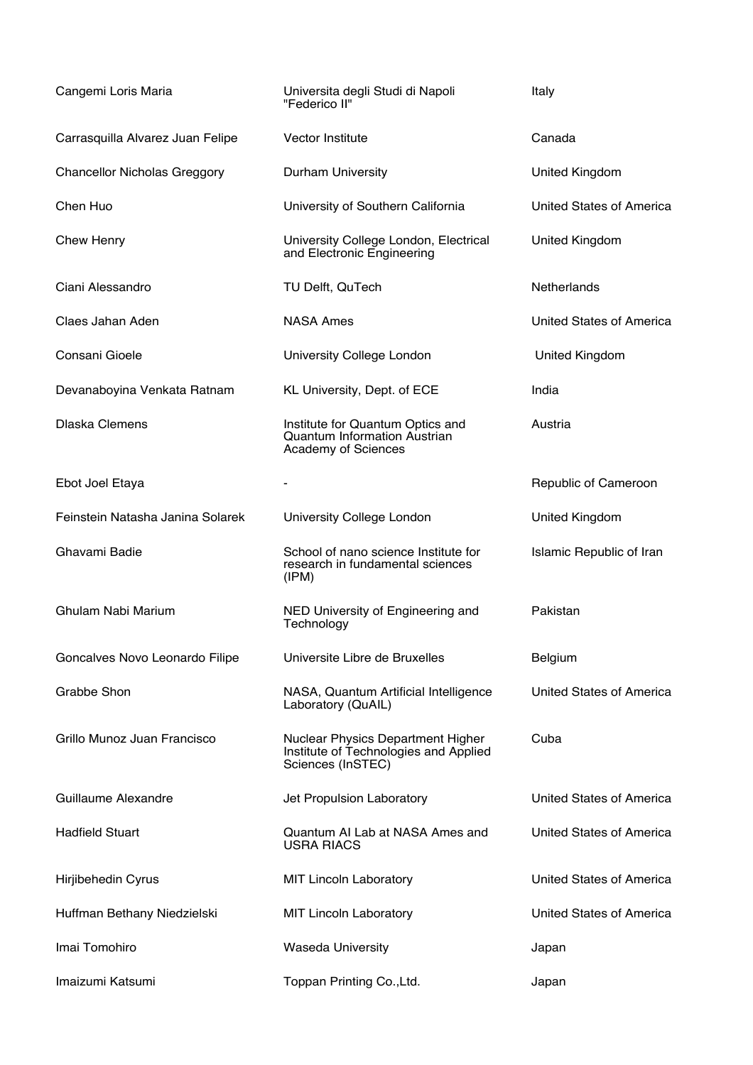| Cangemi Loris Maria                 | Universita degli Studi di Napoli<br>"Federico II"                                               | Italy                    |
|-------------------------------------|-------------------------------------------------------------------------------------------------|--------------------------|
| Carrasquilla Alvarez Juan Felipe    | Vector Institute                                                                                | Canada                   |
| <b>Chancellor Nicholas Greggory</b> | Durham University                                                                               | United Kingdom           |
| Chen Huo                            | University of Southern California                                                               | United States of America |
| <b>Chew Henry</b>                   | University College London, Electrical<br>and Electronic Engineering                             | United Kingdom           |
| Ciani Alessandro                    | TU Delft, QuTech                                                                                | <b>Netherlands</b>       |
| Claes Jahan Aden                    | <b>NASA Ames</b>                                                                                | United States of America |
| Consani Gioele                      | University College London                                                                       | United Kingdom           |
| Devanaboyina Venkata Ratnam         | KL University, Dept. of ECE                                                                     | India                    |
| <b>Dlaska Clemens</b>               | Institute for Quantum Optics and<br><b>Quantum Information Austrian</b><br>Academy of Sciences  | Austria                  |
| Ebot Joel Etaya                     |                                                                                                 | Republic of Cameroon     |
| Feinstein Natasha Janina Solarek    | University College London                                                                       | United Kingdom           |
| Ghavami Badie                       | School of nano science Institute for<br>research in fundamental sciences<br>(IPM)               | Islamic Republic of Iran |
| Ghulam Nabi Marium                  | NED University of Engineering and<br>Technology                                                 | Pakistan                 |
| Goncalves Novo Leonardo Filipe      | Universite Libre de Bruxelles                                                                   | Belgium                  |
| Grabbe Shon                         | NASA, Quantum Artificial Intelligence<br>Laboratory (QuAIL)                                     | United States of America |
| Grillo Munoz Juan Francisco         | Nuclear Physics Department Higher<br>Institute of Technologies and Applied<br>Sciences (InSTEC) | Cuba                     |
| Guillaume Alexandre                 | Jet Propulsion Laboratory                                                                       | United States of America |
| <b>Hadfield Stuart</b>              | Quantum AI Lab at NASA Ames and<br><b>USRA RIACS</b>                                            | United States of America |
| Hirjibehedin Cyrus                  | <b>MIT Lincoln Laboratory</b>                                                                   | United States of America |
| Huffman Bethany Niedzielski         | <b>MIT Lincoln Laboratory</b>                                                                   | United States of America |
| Imai Tomohiro                       | <b>Waseda University</b>                                                                        | Japan                    |
|                                     |                                                                                                 |                          |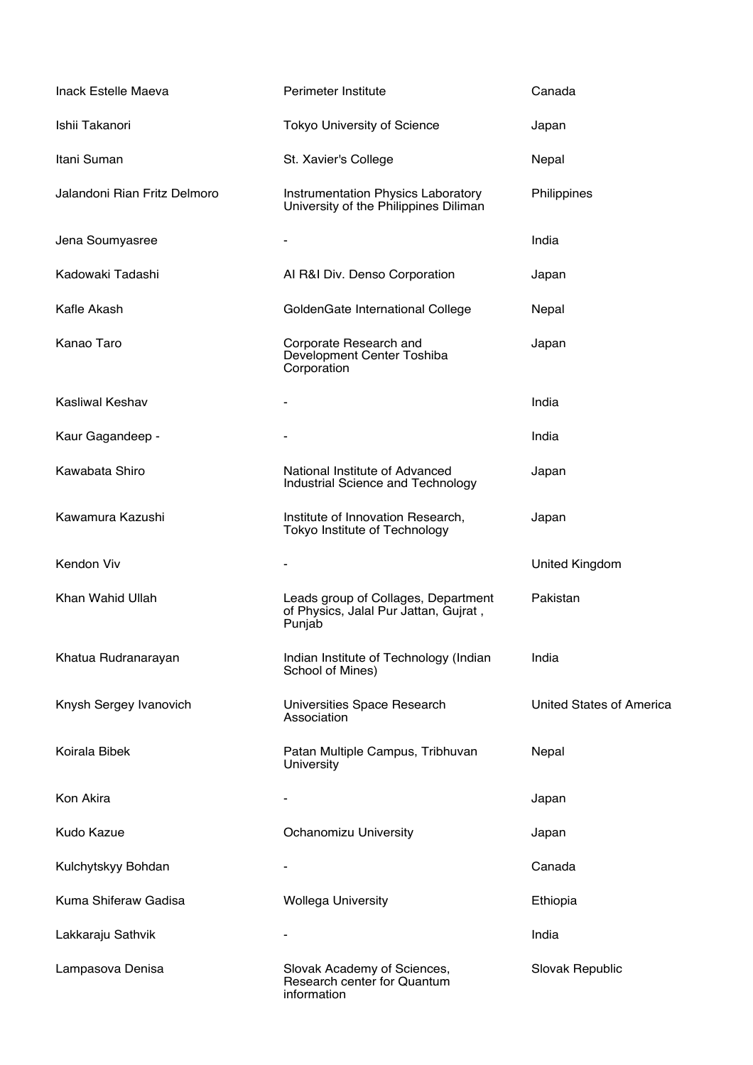| Inack Estelle Maeva          | Perimeter Institute                                                                    | Canada                   |
|------------------------------|----------------------------------------------------------------------------------------|--------------------------|
| Ishii Takanori               | <b>Tokyo University of Science</b>                                                     | Japan                    |
| Itani Suman                  | St. Xavier's College                                                                   | Nepal                    |
| Jalandoni Rian Fritz Delmoro | Instrumentation Physics Laboratory<br>University of the Philippines Diliman            | Philippines              |
| Jena Soumyasree              |                                                                                        | India                    |
| Kadowaki Tadashi             | Al R&I Div. Denso Corporation                                                          | Japan                    |
| Kafle Akash                  | GoldenGate International College                                                       | Nepal                    |
| Kanao Taro                   | Corporate Research and<br>Development Center Toshiba<br>Corporation                    | Japan                    |
| <b>Kasliwal Keshav</b>       |                                                                                        | India                    |
| Kaur Gagandeep -             |                                                                                        | India                    |
| Kawabata Shiro               | National Institute of Advanced<br>Industrial Science and Technology                    | Japan                    |
| Kawamura Kazushi             | Institute of Innovation Research,<br>Tokyo Institute of Technology                     | Japan                    |
| Kendon Viv                   |                                                                                        | <b>United Kingdom</b>    |
| Khan Wahid Ullah             | Leads group of Collages, Department<br>of Physics, Jalal Pur Jattan, Gujrat,<br>Punjab | Pakistan                 |
| Khatua Rudranarayan          | Indian Institute of Technology (Indian<br>School of Mines)                             | India                    |
| Knysh Sergey Ivanovich       | Universities Space Research<br>Association                                             | United States of America |
| Koirala Bibek                | Patan Multiple Campus, Tribhuvan<br>University                                         | Nepal                    |
| Kon Akira                    |                                                                                        | Japan                    |
| Kudo Kazue                   | Ochanomizu University                                                                  | Japan                    |
| Kulchytskyy Bohdan           |                                                                                        | Canada                   |
| Kuma Shiferaw Gadisa         | <b>Wollega University</b>                                                              | Ethiopia                 |
| Lakkaraju Sathvik            |                                                                                        | India                    |
| Lampasova Denisa             | Slovak Academy of Sciences,<br>Research center for Quantum<br>information              | Slovak Republic          |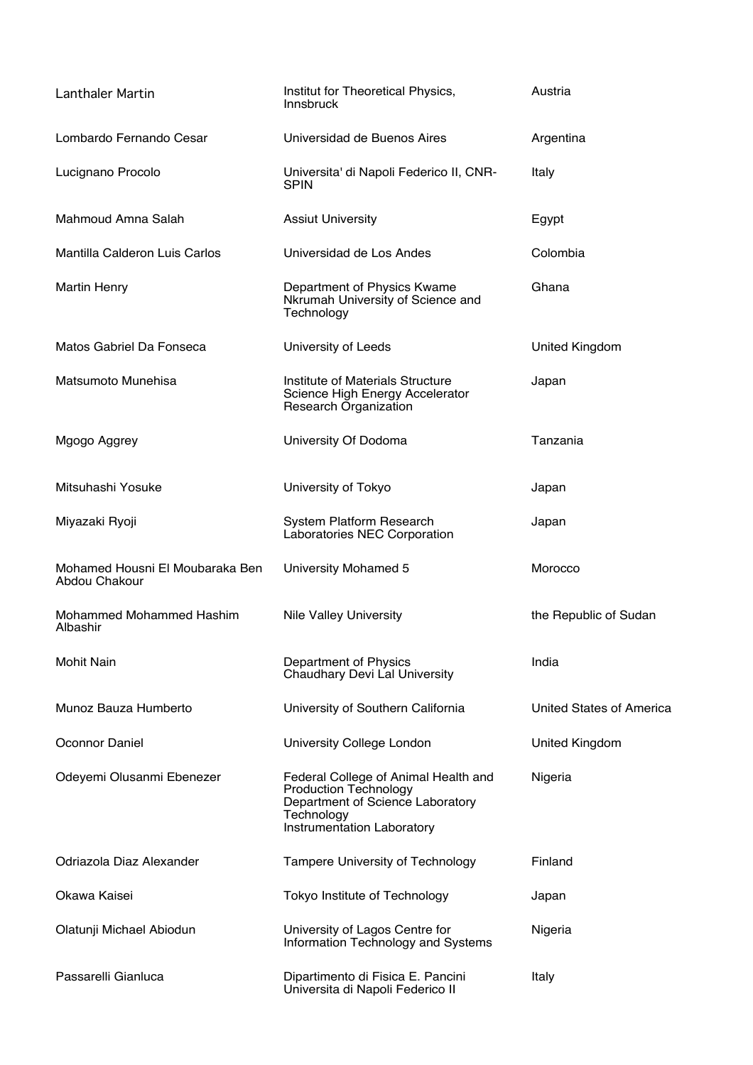| <b>Lanthaler Martin</b>                          | Institut for Theoretical Physics,<br><b>Innsbruck</b>                                                                                                | Austria                  |
|--------------------------------------------------|------------------------------------------------------------------------------------------------------------------------------------------------------|--------------------------|
| Lombardo Fernando Cesar                          | Universidad de Buenos Aires                                                                                                                          | Argentina                |
| Lucignano Procolo                                | Universita' di Napoli Federico II, CNR-<br><b>SPIN</b>                                                                                               | Italy                    |
| Mahmoud Amna Salah                               | <b>Assiut University</b>                                                                                                                             | Egypt                    |
| Mantilla Calderon Luis Carlos                    | Universidad de Los Andes                                                                                                                             | Colombia                 |
| <b>Martin Henry</b>                              | Department of Physics Kwame<br>Nkrumah University of Science and<br>Technology                                                                       | Ghana                    |
| Matos Gabriel Da Fonseca                         | University of Leeds                                                                                                                                  | United Kingdom           |
| Matsumoto Munehisa                               | Institute of Materials Structure<br>Science High Energy Accelerator<br>Research Organization                                                         | Japan                    |
| Mgogo Aggrey                                     | University Of Dodoma                                                                                                                                 | Tanzania                 |
| Mitsuhashi Yosuke                                | University of Tokyo                                                                                                                                  | Japan                    |
| Miyazaki Ryoji                                   | System Platform Research<br>Laboratories NEC Corporation                                                                                             | Japan                    |
| Mohamed Housni El Moubaraka Ben<br>Abdou Chakour | University Mohamed 5                                                                                                                                 | Morocco                  |
| Mohammed Mohammed Hashim<br>Albashir             | <b>Nile Valley University</b>                                                                                                                        | the Republic of Sudan    |
| <b>Mohit Nain</b>                                | Department of Physics<br>Chaudhary Devi Lal University                                                                                               | India                    |
| Munoz Bauza Humberto                             | University of Southern California                                                                                                                    | United States of America |
| Oconnor Daniel                                   | University College London                                                                                                                            | United Kingdom           |
| Odeyemi Olusanmi Ebenezer                        | Federal College of Animal Health and<br><b>Production Technology</b><br>Department of Science Laboratory<br>Technology<br>Instrumentation Laboratory | Nigeria                  |
| Odriazola Diaz Alexander                         | Tampere University of Technology                                                                                                                     | Finland                  |
| Okawa Kaisei                                     | Tokyo Institute of Technology                                                                                                                        | Japan                    |
| Olatunji Michael Abiodun                         | University of Lagos Centre for<br>Information Technology and Systems                                                                                 | Nigeria                  |
| Passarelli Gianluca                              | Dipartimento di Fisica E. Pancini<br>Universita di Napoli Federico II                                                                                | Italy                    |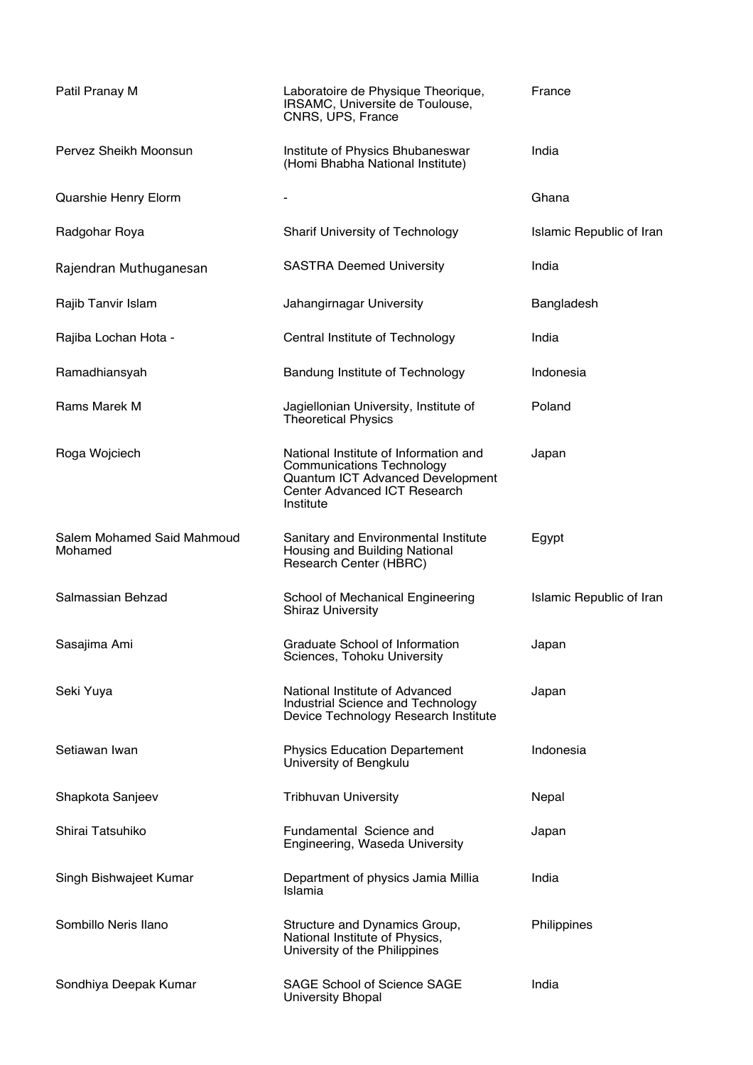| Patil Pranay M                        | Laboratoire de Physique Theorique,<br>IRSAMC, Universite de Toulouse,<br>CNRS, UPS, France                                                                 | France                          |
|---------------------------------------|------------------------------------------------------------------------------------------------------------------------------------------------------------|---------------------------------|
| Pervez Sheikh Moonsun                 | Institute of Physics Bhubaneswar<br>(Homi Bhabha National Institute)                                                                                       | India                           |
| Quarshie Henry Elorm                  | $\overline{\phantom{a}}$                                                                                                                                   | Ghana                           |
| Radgohar Roya                         | Sharif University of Technology                                                                                                                            | <b>Islamic Republic of Iran</b> |
| Rajendran Muthuganesan                | <b>SASTRA Deemed University</b>                                                                                                                            | India                           |
| Rajib Tanvir Islam                    | Jahangirnagar University                                                                                                                                   | Bangladesh                      |
| Rajiba Lochan Hota -                  | Central Institute of Technology                                                                                                                            | India                           |
| Ramadhiansyah                         | Bandung Institute of Technology                                                                                                                            | Indonesia                       |
| Rams Marek M                          | Jagiellonian University, Institute of<br><b>Theoretical Physics</b>                                                                                        | Poland                          |
| Roga Wojciech                         | National Institute of Information and<br><b>Communications Technology</b><br>Quantum ICT Advanced Development<br>Center Advanced ICT Research<br>Institute | Japan                           |
| Salem Mohamed Said Mahmoud<br>Mohamed | Sanitary and Environmental Institute<br>Housing and Building National<br>Research Center (HBRC)                                                            | Egypt                           |
| Salmassian Behzad                     | School of Mechanical Engineering<br><b>Shiraz University</b>                                                                                               | Islamic Republic of Iran        |
| Sasajima Ami                          | Graduate School of Information<br>Sciences, Tohoku University                                                                                              | Japan                           |
| Seki Yuya                             | National Institute of Advanced<br>Industrial Science and Technology<br>Device Technology Research Institute                                                | Japan                           |
| Setiawan Iwan                         | <b>Physics Education Departement</b><br>University of Bengkulu                                                                                             | Indonesia                       |
| Shapkota Sanjeev                      | <b>Tribhuvan University</b>                                                                                                                                | Nepal                           |
| Shirai Tatsuhiko                      | Fundamental Science and<br>Engineering, Waseda University                                                                                                  | Japan                           |
| Singh Bishwajeet Kumar                | Department of physics Jamia Millia<br>Islamia                                                                                                              | India                           |
| Sombillo Neris Ilano                  | Structure and Dynamics Group,<br>National Institute of Physics,<br>University of the Philippines                                                           | Philippines                     |
| Sondhiya Deepak Kumar                 | <b>SAGE School of Science SAGE</b><br><b>University Bhopal</b>                                                                                             | India                           |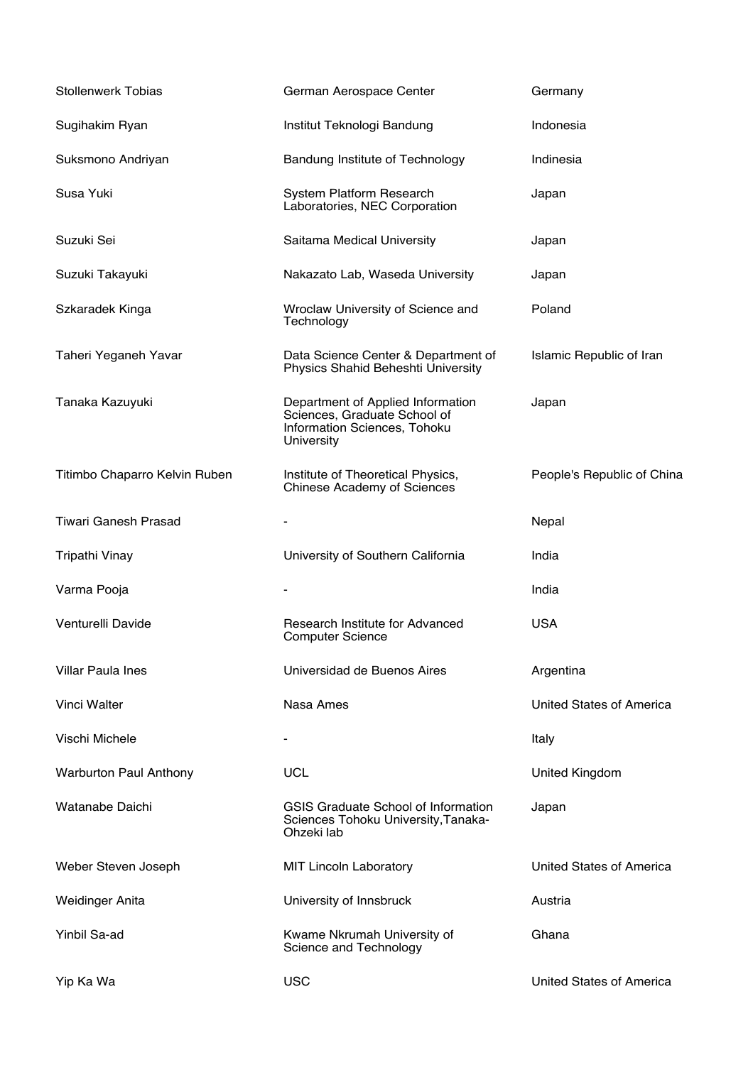| <b>Stollenwerk Tobias</b>     | German Aerospace Center                                                                                         | Germany                    |
|-------------------------------|-----------------------------------------------------------------------------------------------------------------|----------------------------|
| Sugihakim Ryan                | Institut Teknologi Bandung                                                                                      | Indonesia                  |
| Suksmono Andriyan             | Bandung Institute of Technology                                                                                 | Indinesia                  |
| Susa Yuki                     | System Platform Research<br>Laboratories, NEC Corporation                                                       | Japan                      |
| Suzuki Sei                    | Saitama Medical University                                                                                      | Japan                      |
| Suzuki Takayuki               | Nakazato Lab, Waseda University                                                                                 | Japan                      |
| Szkaradek Kinga               | Wroclaw University of Science and<br>Technology                                                                 | Poland                     |
| Taheri Yeganeh Yavar          | Data Science Center & Department of<br>Physics Shahid Beheshti University                                       | Islamic Republic of Iran   |
| Tanaka Kazuyuki               | Department of Applied Information<br>Sciences, Graduate School of<br>Information Sciences, Tohoku<br>University | Japan                      |
| Titimbo Chaparro Kelvin Ruben | Institute of Theoretical Physics,<br><b>Chinese Academy of Sciences</b>                                         | People's Republic of China |
| <b>Tiwari Ganesh Prasad</b>   |                                                                                                                 | Nepal                      |
|                               |                                                                                                                 |                            |
| Tripathi Vinay                | University of Southern California                                                                               | India                      |
| Varma Pooja                   |                                                                                                                 | India                      |
| Venturelli Davide             | Research Institute for Advanced<br><b>Computer Science</b>                                                      | <b>USA</b>                 |
| <b>Villar Paula Ines</b>      | Universidad de Buenos Aires                                                                                     | Argentina                  |
| Vinci Walter                  | Nasa Ames                                                                                                       | United States of America   |
| Vischi Michele                |                                                                                                                 | Italy                      |
| <b>Warburton Paul Anthony</b> | <b>UCL</b>                                                                                                      | United Kingdom             |
| Watanabe Daichi               | GSIS Graduate School of Information<br>Sciences Tohoku University, Tanaka-<br>Ohzeki lab                        | Japan                      |
| Weber Steven Joseph           | <b>MIT Lincoln Laboratory</b>                                                                                   | United States of America   |
| <b>Weidinger Anita</b>        | University of Innsbruck                                                                                         | Austria                    |
| Yinbil Sa-ad                  | Kwame Nkrumah University of<br>Science and Technology                                                           | Ghana                      |